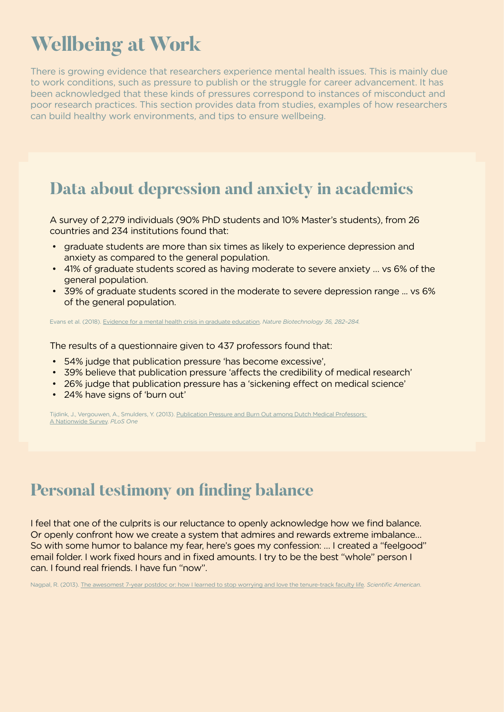# **Wellbeing at Work**

There is growing evidence that researchers experience mental health issues. This is mainly due to work conditions, such as pressure to publish or the struggle for career advancement. It has been acknowledged that these kinds of pressures correspond to instances of misconduct and poor research practices. This section provides data from studies, examples of how researchers can build healthy work environments, and tips to ensure wellbeing.

### **Data about depression and anxiety in academics**

A survey of 2,279 individuals (90% PhD students and 10% Master's students), from 26 countries and 234 institutions found that:

- graduate students are more than six times as likely to experience depression and anxiety as compared to the general population.
- 41% of graduate students scored as having moderate to severe anxiety … vs 6% of the general population.
- 39% of graduate students scored in the moderate to severe depression range ... vs 6% of the general population.

Evans et al. (2018). [Evidence for a mental health crisis in graduate education.](https://www.nature.com/articles/nbt.4089) *Nature Biotechnology 36, 282–284.*

The results of a questionnaire given to 437 professors found that:

- 54% judge that publication pressure 'has become excessive',
- 39% believe that publication pressure 'affects the credibility of medical research'
- 26% judge that publication pressure has a 'sickening effect on medical science'
- 24% have signs of 'burn out'

Tijdink, J., Vergouwen, A., Smulders, Y. (2013). Publication Pressure and Burn Out among Dutch Medical Professors: [A Nationwide Survey](http://journals.plos.org/plosone/article?id=10.1371/journal.pone.0073381). *PLoS One*

## **Personal testimony on fnding balance**

I feel that one of the culprits is our reluctance to openly acknowledge how we find balance. Or openly confront how we create a system that admires and rewards extreme imbalance… So with some humor to balance my fear, here's goes my confession: … I created a "feelgood" email folder. I work fixed hours and in fixed amounts. I try to be the best "whole" person I can. I found real friends. I have fun "now".

Nagpal, R. (2013). [The awesomest 7-year postdoc or: how I learned to stop worrying and love the tenure-track faculty life.](https://blogs.scientificamerican.com/guest-blog/the-awesomest-7-year-postdoc-or-how-i-learned-to-stop-worrying-and-love-the-tenure-track-faculty-life/) *Scientific American*.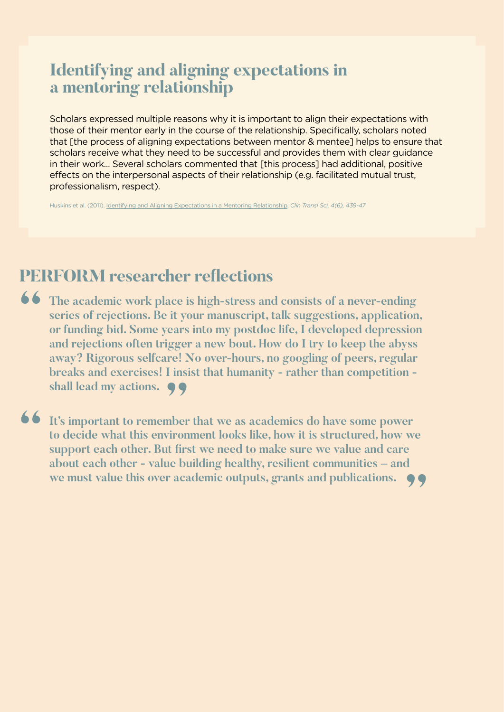### **Identifying and aligning expectations in a mentoring relationship**

Scholars expressed multiple reasons why it is important to align their expectations with those of their mentor early in the course of the relationship. Specifically, scholars noted that [the process of aligning expectations between mentor & mentee] helps to ensure that scholars receive what they need to be successful and provides them with clear guidance in their work... Several scholars commented that [this process] had additional, positive effects on the interpersonal aspects of their relationship (e.g. facilitated mutual trust, professionalism, respect).

Huskins et al. (2011). [Identifying and Aligning Expectations in a Mentoring Relationship](https://ascpt.onlinelibrary.wiley.com/doi/abs/10.1111/j.1752-8062.2011.00356.x), *Clin Transl Sci, 4(6), 439-47*

### **PERFORM researcher refections**

**16** The academic work place is high-stress and consists of a never-ending series of rejections. Be it your manuscript, talk suggestions, application or funding bid. Some vears into my postdoc life. I developed depression **series of rejections. Be it your manuscript, talk suggestions, application, or funding bid. Some years into my postdoc life, I developed depression and rejections often trigger a new bout. How do I try to keep the abyss away? Rigorous selfcare! No over-hours, no googling of peers, regular**  breaks and exercises! I insist that humanity - rather than competition - shall lead my actions.  $\bigcirc$ **shall lead my actions.** 

**It's important to remember that we as academics do have some power to decide what this environment looks like, how it is structured, how we support each other. But first we need to make sure we value and care to decide what this environment looks like, how it is structured, how we support each other. But frst we need to make sure we value and care about each other - value building healthy, resilient communities – and we must value this over academic outputs, grants and publications. "**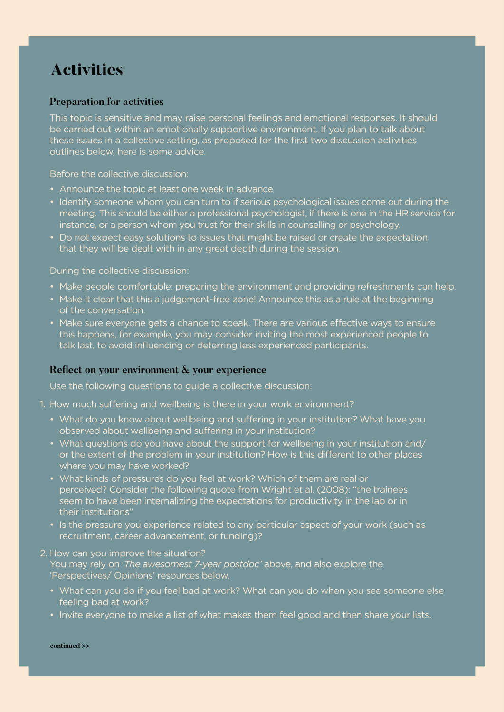### **Activities**

#### **Preparation for activities**

This topic is sensitive and may raise personal feelings and emotional responses. It should be carried out within an emotionally supportive environment. If you plan to talk about these issues in a collective setting, as proposed for the first two discussion activities outlines below, here is some advice.

Before the collective discussion:

- Announce the topic at least one week in advance
- Identify someone whom you can turn to if serious psychological issues come out during the meeting. This should be either a professional psychologist, if there is one in the HR service for instance, or a person whom you trust for their skills in counselling or psychology.
- Do not expect easy solutions to issues that might be raised or create the expectation that they will be dealt with in any great depth during the session.

During the collective discussion:

- Make people comfortable: preparing the environment and providing refreshments can help.
- Make it clear that this a judgement-free zone! Announce this as a rule at the beginning of the conversation.
- Make sure everyone gets a chance to speak. There are various effective ways to ensure this happens, for example, you may consider inviting the most experienced people to talk last, to avoid influencing or deterring less experienced participants.

#### Reflect on your environment & your experience

Use the following questions to guide a collective discussion:

- 1. How much suffering and wellbeing is there in your work environment?
	- What do you know about wellbeing and suffering in your institution? What have you observed about wellbeing and sufering in your institution?
	- What questions do you have about the support for wellbeing in your institution and/ or the extent of the problem in your institution? How is this diferent to other places where you may have worked?
	- What kinds of pressures do you feel at work? Which of them are real or perceived? Consider the following quote from Wright et al. (2008): "the trainees seem to have been internalizing the expectations for productivity in the lab or in their institutions"
	- Is the pressure you experience related to any particular aspect of your work (such as recruitment, career advancement, or funding)?

#### 2. How can you improve the situation?

You may rely on *'The awesomest 7-year postdoc'* above, and also explore the 'Perspectives/ Opinions' resources below.

- What can you do if you feel bad at work? What can you do when you see someone else feeling bad at work?
- Invite everyone to make a list of what makes them feel good and then share your lists.

**continued >>**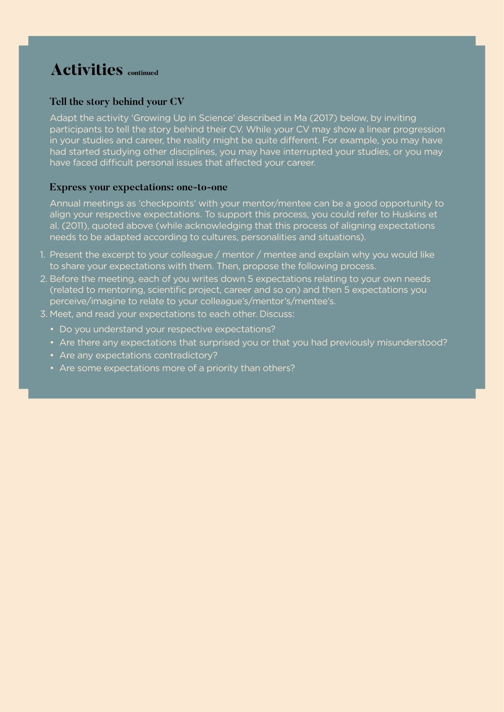### **Activities** continued

#### **Tell the story behind your CV**

Adapt the activity 'Growing Up in Science' described in Ma (2017) below, by inviting participants to tell the story behind their CV. While your CV may show a linear progression in your studies and career, the reality might be quite diferent. For example, you may have had started studying other disciplines, you may have interrupted your studies, or you may have faced difficult personal issues that affected your career.

#### **Express your expectations: one-to-one**

Annual meetings as 'checkpoints' with your mentor/mentee can be a good opportunity to align your respective expectations. To support this process, you could refer to Huskins et al. (2011), quoted above (while acknowledging that this process of aligning expectations needs to be adapted according to cultures, personalities and situations).

- 1. Present the excerpt to your colleague / mentor / mentee and explain why you would like to share your expectations with them. Then, propose the following process.
- 2. Before the meeting, each of you writes down 5 expectations relating to your own needs (related to mentoring, scientific project, career and so on) and then 5 expectations you perceive/imagine to relate to your colleague's/mentor's/mentee's.
- 3. Meet, and read your expectations to each other. Discuss:
	- Do you understand your respective expectations?
	- Are there any expectations that surprised you or that you had previously misunderstood?
	- Are any expectations contradictory?
	- Are some expectations more of a priority than others?